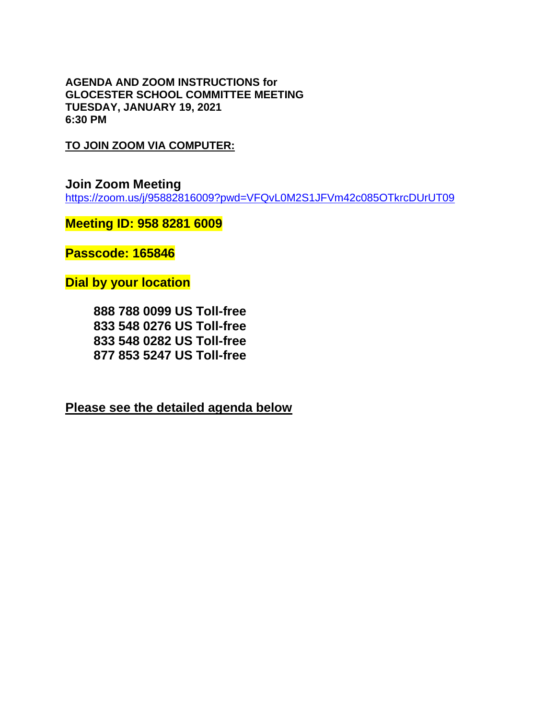**AGENDA AND ZOOM INSTRUCTIONS for GLOCESTER SCHOOL COMMITTEE MEETING TUESDAY, JANUARY 19, 2021 6:30 PM**

**TO JOIN ZOOM VIA COMPUTER:**

**Join Zoom Meeting**  <https://zoom.us/j/95882816009?pwd=VFQvL0M2S1JFVm42c085OTkrcDUrUT09>

**Meeting ID: 958 8281 6009**

**Passcode: 165846**

**Dial by your location**

 **888 788 0099 US Toll-free 833 548 0276 US Toll-free 833 548 0282 US Toll-free 877 853 5247 US Toll-free**

**Please see the detailed agenda below**